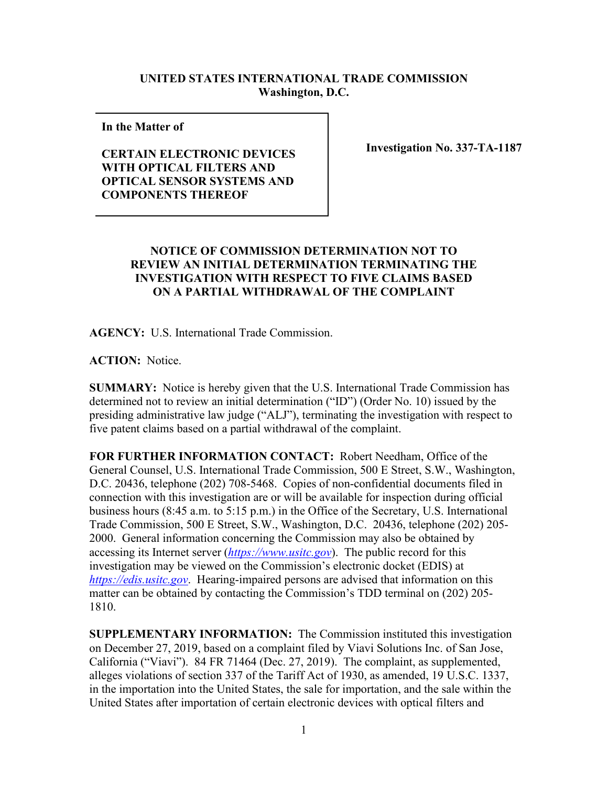## **UNITED STATES INTERNATIONAL TRADE COMMISSION Washington, D.C.**

**In the Matter of** 

## **CERTAIN ELECTRONIC DEVICES WITH OPTICAL FILTERS AND OPTICAL SENSOR SYSTEMS AND COMPONENTS THEREOF**

**Investigation No. 337-TA-1187**

## **NOTICE OF COMMISSION DETERMINATION NOT TO REVIEW AN INITIAL DETERMINATION TERMINATING THE INVESTIGATION WITH RESPECT TO FIVE CLAIMS BASED ON A PARTIAL WITHDRAWAL OF THE COMPLAINT**

**AGENCY:** U.S. International Trade Commission.

**ACTION:** Notice.

**SUMMARY:** Notice is hereby given that the U.S. International Trade Commission has determined not to review an initial determination ("ID") (Order No. 10) issued by the presiding administrative law judge ("ALJ"), terminating the investigation with respect to five patent claims based on a partial withdrawal of the complaint.

**FOR FURTHER INFORMATION CONTACT:** Robert Needham, Office of the General Counsel, U.S. International Trade Commission, 500 E Street, S.W., Washington, D.C. 20436, telephone (202) 708-5468. Copies of non-confidential documents filed in connection with this investigation are or will be available for inspection during official business hours (8:45 a.m. to 5:15 p.m.) in the Office of the Secretary, U.S. International Trade Commission, 500 E Street, S.W., Washington, D.C. 20436, telephone (202) 205- 2000. General information concerning the Commission may also be obtained by accessing its Internet server (*[https://www.usitc.gov](https://www.usitc.gov/)*). The public record for this investigation may be viewed on the Commission's electronic docket (EDIS) at *[https://edis.usitc.gov](https://edis.usitc.gov/)*. Hearing-impaired persons are advised that information on this matter can be obtained by contacting the Commission's TDD terminal on (202) 205- 1810.

**SUPPLEMENTARY INFORMATION:** The Commission instituted this investigation on December 27, 2019, based on a complaint filed by Viavi Solutions Inc. of San Jose, California ("Viavi"). 84 FR 71464 (Dec. 27, 2019). The complaint, as supplemented, alleges violations of section 337 of the Tariff Act of 1930, as amended, 19 U.S.C. 1337, in the importation into the United States, the sale for importation, and the sale within the United States after importation of certain electronic devices with optical filters and